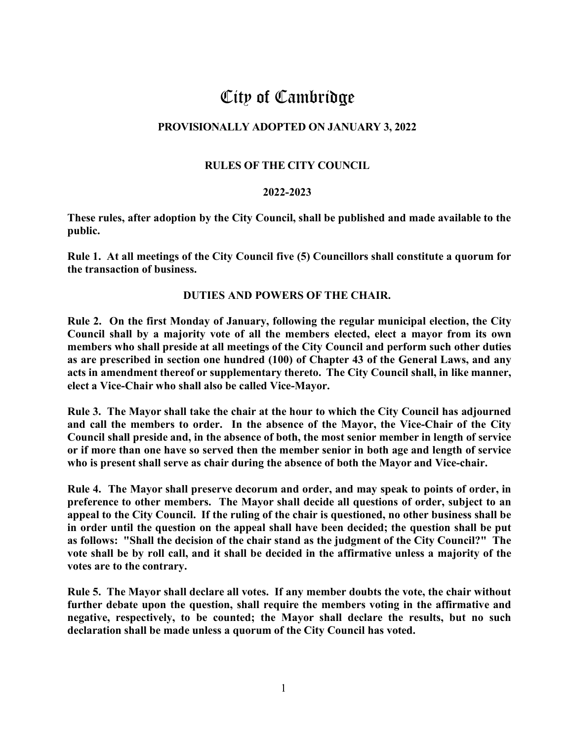# City of Cambridge

## **PROVISIONALLY ADOPTED ON JANUARY 3, 2022**

## **RULES OF THE CITY COUNCIL**

#### **2022-2023**

**These rules, after adoption by the City Council, shall be published and made available to the public.**

**Rule 1. At all meetings of the City Council five (5) Councillors shall constitute a quorum for the transaction of business.**

#### **DUTIES AND POWERS OF THE CHAIR.**

**Rule 2. On the first Monday of January, following the regular municipal election, the City Council shall by a majority vote of all the members elected, elect a mayor from its own members who shall preside at all meetings of the City Council and perform such other duties as are prescribed in section one hundred (100) of Chapter 43 of the General Laws, and any acts in amendment thereof or supplementary thereto. The City Council shall, in like manner, elect a Vice-Chair who shall also be called Vice-Mayor.**

**Rule 3. The Mayor shall take the chair at the hour to which the City Council has adjourned and call the members to order. In the absence of the Mayor, the Vice-Chair of the City Council shall preside and, in the absence of both, the most senior member in length of service or if more than one have so served then the member senior in both age and length of service who is present shall serve as chair during the absence of both the Mayor and Vice-chair.**

**Rule 4. The Mayor shall preserve decorum and order, and may speak to points of order, in preference to other members. The Mayor shall decide all questions of order, subject to an appeal to the City Council. If the ruling of the chair is questioned, no other business shall be in order until the question on the appeal shall have been decided; the question shall be put as follows: "Shall the decision of the chair stand as the judgment of the City Council?" The vote shall be by roll call, and it shall be decided in the affirmative unless a majority of the votes are to the contrary.**

**Rule 5. The Mayor shall declare all votes. If any member doubts the vote, the chair without further debate upon the question, shall require the members voting in the affirmative and negative, respectively, to be counted; the Mayor shall declare the results, but no such declaration shall be made unless a quorum of the City Council has voted.**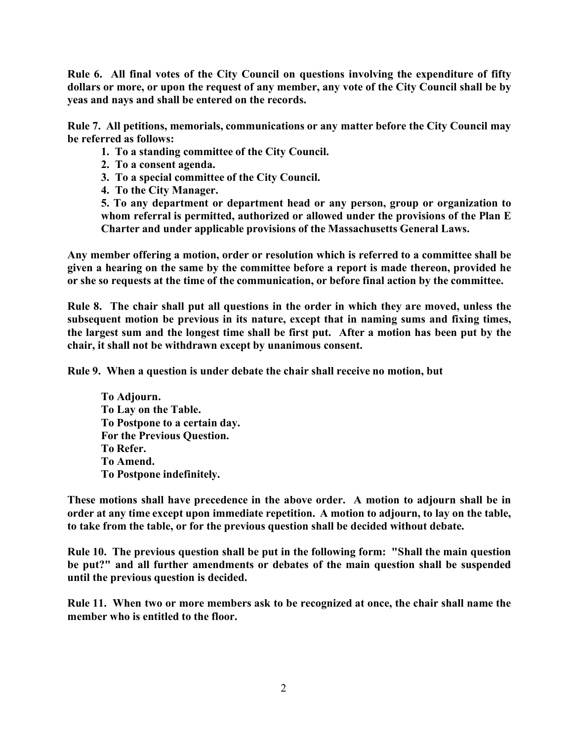**Rule 6. All final votes of the City Council on questions involving the expenditure of fifty dollars or more, or upon the request of any member, any vote of the City Council shall be by yeas and nays and shall be entered on the records.**

**Rule 7. All petitions, memorials, communications or any matter before the City Council may be referred as follows:**

- **1. To a standing committee of the City Council.**
- **2. To a consent agenda.**
- **3. To a special committee of the City Council.**
- **4. To the City Manager.**

**5. To any department or department head or any person, group or organization to whom referral is permitted, authorized or allowed under the provisions of the Plan E Charter and under applicable provisions of the Massachusetts General Laws.**

**Any member offering a motion, order or resolution which is referred to a committee shall be given a hearing on the same by the committee before a report is made thereon, provided he or she so requests at the time of the communication, or before final action by the committee.**

**Rule 8. The chair shall put all questions in the order in which they are moved, unless the subsequent motion be previous in its nature, except that in naming sums and fixing times, the largest sum and the longest time shall be first put. After a motion has been put by the chair, it shall not be withdrawn except by unanimous consent.**

**Rule 9. When a question is under debate the chair shall receive no motion, but**

**To Adjourn. To Lay on the Table. To Postpone to a certain day. For the Previous Question. To Refer. To Amend. To Postpone indefinitely.**

**These motions shall have precedence in the above order. A motion to adjourn shall be in order at any time except upon immediate repetition. A motion to adjourn, to lay on the table, to take from the table, or for the previous question shall be decided without debate.**

**Rule 10. The previous question shall be put in the following form: "Shall the main question be put?" and all further amendments or debates of the main question shall be suspended until the previous question is decided.**

**Rule 11. When two or more members ask to be recognized at once, the chair shall name the member who is entitled to the floor.**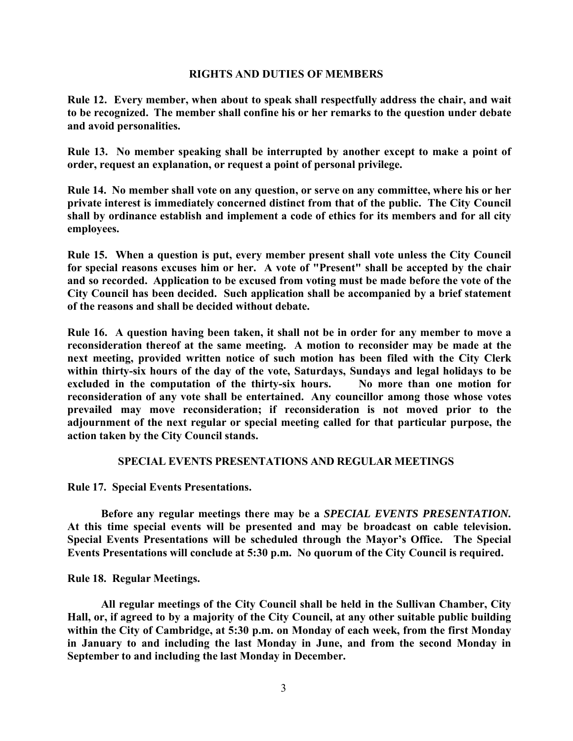#### **RIGHTS AND DUTIES OF MEMBERS**

**Rule 12. Every member, when about to speak shall respectfully address the chair, and wait to be recognized. The member shall confine his or her remarks to the question under debate and avoid personalities.**

**Rule 13. No member speaking shall be interrupted by another except to make a point of order, request an explanation, or request a point of personal privilege.**

**Rule 14. No member shall vote on any question, or serve on any committee, where his or her private interest is immediately concerned distinct from that of the public. The City Council shall by ordinance establish and implement a code of ethics for its members and for all city employees.**

**Rule 15. When a question is put, every member present shall vote unless the City Council for special reasons excuses him or her. A vote of "Present" shall be accepted by the chair and so recorded. Application to be excused from voting must be made before the vote of the City Council has been decided. Such application shall be accompanied by a brief statement of the reasons and shall be decided without debate.**

**Rule 16. A question having been taken, it shall not be in order for any member to move a reconsideration thereof at the same meeting. A motion to reconsider may be made at the next meeting, provided written notice of such motion has been filed with the City Clerk within thirty-six hours of the day of the vote, Saturdays, Sundays and legal holidays to be**  excluded in the computation of the thirty-six hours. No more than one motion for **reconsideration of any vote shall be entertained. Any councillor among those whose votes prevailed may move reconsideration; if reconsideration is not moved prior to the adjournment of the next regular or special meeting called for that particular purpose, the action taken by the City Council stands.**

## **SPECIAL EVENTS PRESENTATIONS AND REGULAR MEETINGS**

**Rule 17. Special Events Presentations.**

**Before any regular meetings there may be a** *SPECIAL EVENTS PRESENTATION.*  **At this time special events will be presented and may be broadcast on cable television. Special Events Presentations will be scheduled through the Mayor's Office. The Special Events Presentations will conclude at 5:30 p.m. No quorum of the City Council is required.**

**Rule 18. Regular Meetings.**

**All regular meetings of the City Council shall be held in the Sullivan Chamber, City Hall, or, if agreed to by a majority of the City Council, at any other suitable public building within the City of Cambridge, at 5:30 p.m. on Monday of each week, from the first Monday in January to and including the last Monday in June, and from the second Monday in September to and including the last Monday in December.**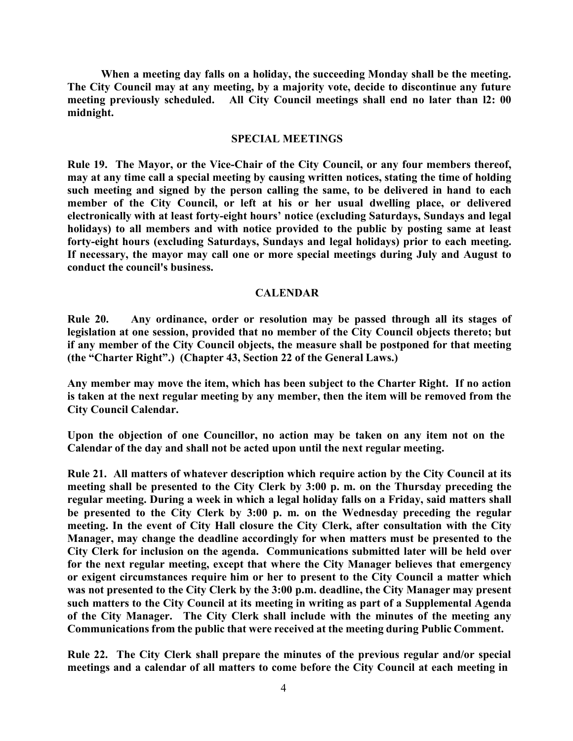**When a meeting day falls on a holiday, the succeeding Monday shall be the meeting. The City Council may at any meeting, by a majority vote, decide to discontinue any future meeting previously scheduled. All City Council meetings shall end no later than l2: 00 midnight.**

#### **SPECIAL MEETINGS**

**Rule 19. The Mayor, or the Vice-Chair of the City Council, or any four members thereof, may at any time call a special meeting by causing written notices, stating the time of holding such meeting and signed by the person calling the same, to be delivered in hand to each member of the City Council, or left at his or her usual dwelling place, or delivered electronically with at least forty-eight hours' notice (excluding Saturdays, Sundays and legal holidays) to all members and with notice provided to the public by posting same at least forty-eight hours (excluding Saturdays, Sundays and legal holidays) prior to each meeting. If necessary, the mayor may call one or more special meetings during July and August to conduct the council's business.**

#### **CALENDAR**

**Rule 20. Any ordinance, order or resolution may be passed through all its stages of legislation at one session, provided that no member of the City Council objects thereto; but if any member of the City Council objects, the measure shall be postponed for that meeting (the "Charter Right".) (Chapter 43, Section 22 of the General Laws.)**

**Any member may move the item, which has been subject to the Charter Right. If no action is taken at the next regular meeting by any member, then the item will be removed from the City Council Calendar.**

**Upon the objection of one Councillor, no action may be taken on any item not on the Calendar of the day and shall not be acted upon until the next regular meeting.**

**Rule 21. All matters of whatever description which require action by the City Council at its meeting shall be presented to the City Clerk by 3:00 p. m. on the Thursday preceding the regular meeting. During a week in which a legal holiday falls on a Friday, said matters shall be presented to the City Clerk by 3:00 p. m. on the Wednesday preceding the regular meeting. In the event of City Hall closure the City Clerk, after consultation with the City Manager, may change the deadline accordingly for when matters must be presented to the City Clerk for inclusion on the agenda. Communications submitted later will be held over for the next regular meeting, except that where the City Manager believes that emergency or exigent circumstances require him or her to present to the City Council a matter which was not presented to the City Clerk by the 3:00 p.m. deadline, the City Manager may present such matters to the City Council at its meeting in writing as part of a Supplemental Agenda of the City Manager. The City Clerk shall include with the minutes of the meeting any Communications from the public that were received at the meeting during Public Comment.**

**Rule 22. The City Clerk shall prepare the minutes of the previous regular and/or special meetings and a calendar of all matters to come before the City Council at each meeting in**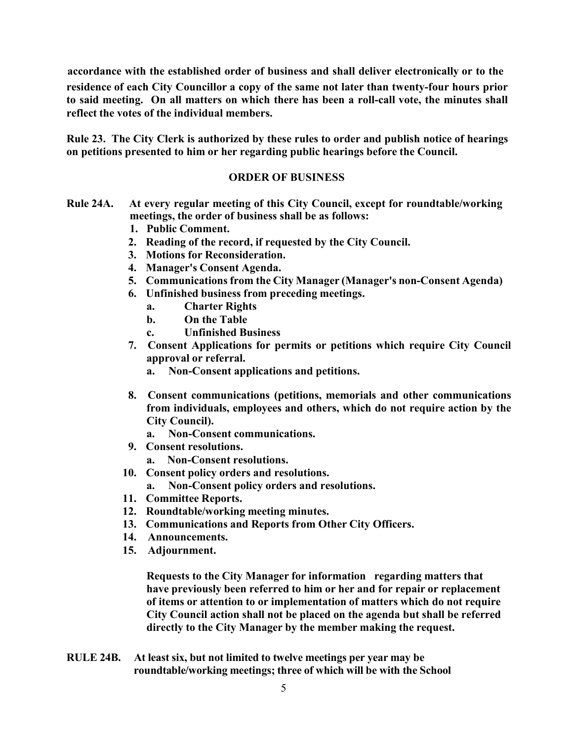**accordance with the established order of business and shall deliver electronically or to the residence of each City Councillor a copy of the same not later than twenty-four hours prior to said meeting. On all matters on which there has been a roll-call vote, the minutes shall reflect the votes of the individual members.**

**Rule 23. The City Clerk is authorized by these rules to order and publish notice of hearings on petitions presented to him or her regarding public hearings before the Council.**

## **ORDER OF BUSINESS**

- **Rule 24A. At every regular meeting of this City Council, except for roundtable/working meetings, the order of business shall be as follows:**
	- **1. Public Comment.**
	- **2. Reading of the record, if requested by the City Council.**
	- **3. Motions for Reconsideration.**
	- **4. Manager's Consent Agenda.**
	- **5. Communications from the City Manager (Manager's non-Consent Agenda)**
	- **6. Unfinished business from preceding meetings.** 
		- **a. Charter Rights**
		- **b. On the Table**
		- **c. Unfinished Business**
	- **7. Consent Applications for permits or petitions which require City Council approval or referral.**
		- **a. Non-Consent applications and petitions.**
	- **8. Consent communications (petitions, memorials and other communications from individuals, employees and others, which do not require action by the City Council).**
		- **a. Non-Consent communications.**
	- **9. Consent resolutions.**
		- **a. Non-Consent resolutions.**
	- **10. Consent policy orders and resolutions.**
		- **a. Non-Consent policy orders and resolutions.**
	- **11. Committee Reports.**
	- **12. Roundtable/working meeting minutes.**
	- **13. Communications and Reports from Other City Officers.**
	- **14. Announcements.**
	- **15. Adjournment.**

**Requests to the City Manager for information regarding matters that have previously been referred to him or her and for repair or replacement of items or attention to or implementation of matters which do not require City Council action shall not be placed on the agenda but shall be referred directly to the City Manager by the member making the request.**

**RULE 24B. At least six, but not limited to twelve meetings per year may be roundtable/working meetings; three of which will be with the School**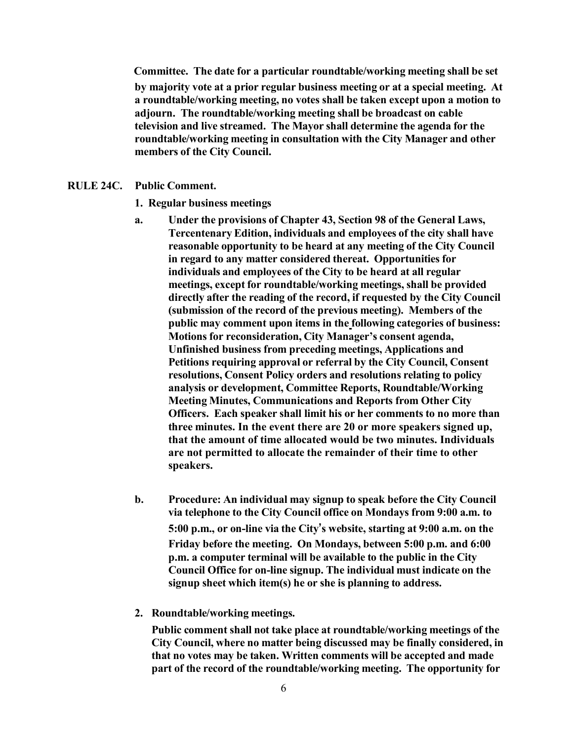**Committee. The date for a particular roundtable/working meeting shall be set by majority vote at a prior regular business meeting or at a special meeting. At a roundtable/working meeting, no votes shall be taken except upon a motion to adjourn. The roundtable/working meeting shall be broadcast on cable television and live streamed. The Mayor shall determine the agenda for the roundtable/working meeting in consultation with the City Manager and other members of the City Council.**

- **RULE 24C. Public Comment.**
	- **1. Regular business meetings**
	- **a. Under the provisions of Chapter 43, Section 98 of the General Laws, Tercentenary Edition, individuals and employees of the city shall have reasonable opportunity to be heard at any meeting of the City Council in regard to any matter considered thereat. Opportunities for individuals and employees of the City to be heard at all regular meetings, except for roundtable/working meetings, shall be provided directly after the reading of the record, if requested by the City Council (submission of the record of the previous meeting). Members of the public may comment upon items in the following categories of business: Motions for reconsideration, City Manager's consent agenda, Unfinished business from preceding meetings, Applications and Petitions requiring approval or referral by the City Council, Consent resolutions, Consent Policy orders and resolutions relating to policy analysis or development, Committee Reports, Roundtable/Working Meeting Minutes, Communications and Reports from Other City Officers. Each speaker shall limit his or her comments to no more than three minutes. In the event there are 20 or more speakers signed up, that the amount of time allocated would be two minutes. Individuals are not permitted to allocate the remainder of their time to other speakers.**
	- **b. Procedure: An individual may signup to speak before the City Council via telephone to the City Council office on Mondays from 9:00 a.m. to 5:00 p.m., or on-line via the City's website, starting at 9:00 a.m. on the Friday before the meeting. On Mondays, between 5:00 p.m. and 6:00 p.m. a computer terminal will be available to the public in the City Council Office for on-line signup. The individual must indicate on the signup sheet which item(s) he or she is planning to address.**
	- **2. Roundtable/working meetings.**

**Public comment shall not take place at roundtable/working meetings of the City Council, where no matter being discussed may be finally considered, in that no votes may be taken. Written comments will be accepted and made part of the record of the roundtable/working meeting. The opportunity for**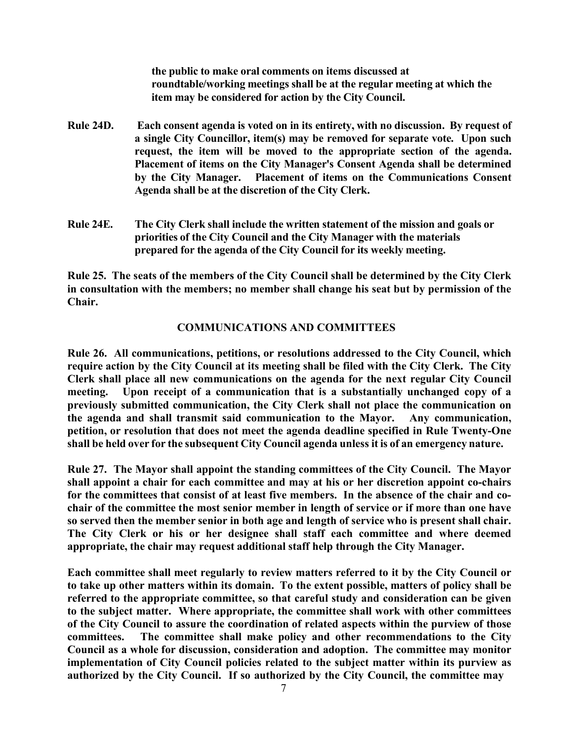**the public to make oral comments on items discussed at roundtable/working meetings shall be at the regular meeting at which the item may be considered for action by the City Council.**

- **Rule 24D. Each consent agenda is voted on in its entirety, with no discussion. By request of a single City Councillor, item(s) may be removed for separate vote. Upon such request, the item will be moved to the appropriate section of the agenda. Placement of items on the City Manager's Consent Agenda shall be determined by the City Manager. Placement of items on the Communications Consent Agenda shall be at the discretion of the City Clerk.**
- **Rule 24E. The City Clerk shall include the written statement of the mission and goals or priorities of the City Council and the City Manager with the materials prepared for the agenda of the City Council for its weekly meeting.**

**Rule 25. The seats of the members of the City Council shall be determined by the City Clerk in consultation with the members; no member shall change his seat but by permission of the Chair.**

## **COMMUNICATIONS AND COMMITTEES**

**Rule 26. All communications, petitions, or resolutions addressed to the City Council, which require action by the City Council at its meeting shall be filed with the City Clerk. The City Clerk shall place all new communications on the agenda for the next regular City Council meeting. Upon receipt of a communication that is a substantially unchanged copy of a previously submitted communication, the City Clerk shall not place the communication on the agenda and shall transmit said communication to the Mayor. Any communication, petition, or resolution that does not meet the agenda deadline specified in Rule Twenty-One shall be held over for the subsequent City Council agenda unless it is of an emergency nature.**

**Rule 27. The Mayor shall appoint the standing committees of the City Council. The Mayor shall appoint a chair for each committee and may at his or her discretion appoint co-chairs for the committees that consist of at least five members. In the absence of the chair and cochair of the committee the most senior member in length of service or if more than one have so served then the member senior in both age and length of service who is present shall chair. The City Clerk or his or her designee shall staff each committee and where deemed appropriate, the chair may request additional staff help through the City Manager.**

**Each committee shall meet regularly to review matters referred to it by the City Council or to take up other matters within its domain. To the extent possible, matters of policy shall be referred to the appropriate committee, so that careful study and consideration can be given to the subject matter. Where appropriate, the committee shall work with other committees of the City Council to assure the coordination of related aspects within the purview of those committees. The committee shall make policy and other recommendations to the City Council as a whole for discussion, consideration and adoption. The committee may monitor implementation of City Council policies related to the subject matter within its purview as authorized by the City Council. If so authorized by the City Council, the committee may**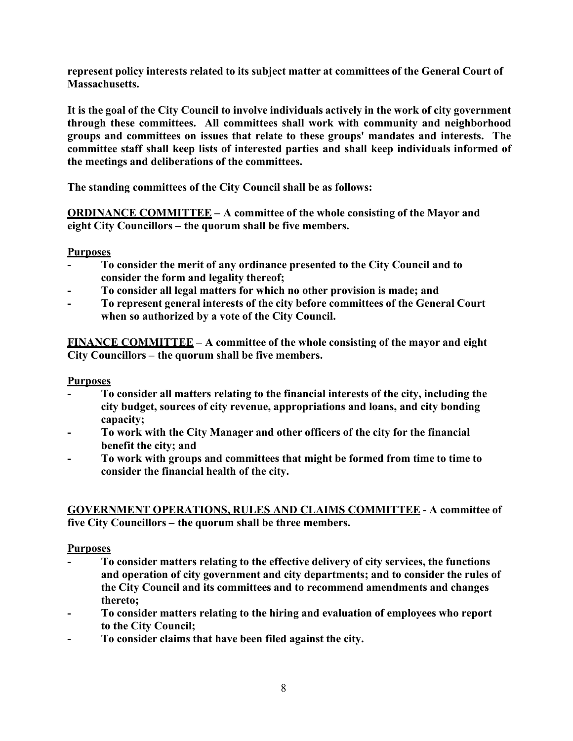**represent policy interests related to its subject matter at committees of the General Court of Massachusetts.**

**It is the goal of the City Council to involve individuals actively in the work of city government through these committees. All committees shall work with community and neighborhood groups and committees on issues that relate to these groups' mandates and interests. The committee staff shall keep lists of interested parties and shall keep individuals informed of the meetings and deliberations of the committees.**

**The standing committees of the City Council shall be as follows:**

**ORDINANCE COMMITTEE – A committee of the whole consisting of the Mayor and eight City Councillors – the quorum shall be five members.**

## **Purposes**

- **To consider the merit of any ordinance presented to the City Council and to consider the form and legality thereof;**
- **To consider all legal matters for which no other provision is made; and**
- **To represent general interests of the city before committees of the General Court when so authorized by a vote of the City Council.**

**FINANCE COMMITTEE – A committee of the whole consisting of the mayor and eight City Councillors – the quorum shall be five members.**

# **Purposes**

- **To consider all matters relating to the financial interests of the city, including the city budget, sources of city revenue, appropriations and loans, and city bonding capacity;**
- **To work with the City Manager and other officers of the city for the financial benefit the city; and**
- **To work with groups and committees that might be formed from time to time to consider the financial health of the city.**

# **GOVERNMENT OPERATIONS, RULES AND CLAIMS COMMITTEE - A committee of five City Councillors – the quorum shall be three members.**

# **Purposes**

- **To consider matters relating to the effective delivery of city services, the functions and operation of city government and city departments; and to consider the rules of the City Council and its committees and to recommend amendments and changes thereto;**
- **To consider matters relating to the hiring and evaluation of employees who report to the City Council;**
- **To consider claims that have been filed against the city.**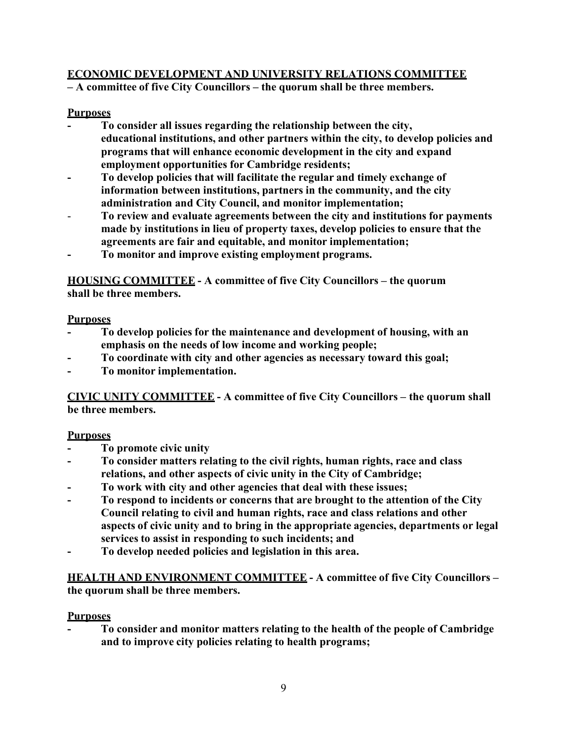# **ECONOMIC DEVELOPMENT AND UNIVERSITY RELATIONS COMMITTEE**

**– A committee of five City Councillors – the quorum shall be three members.**

# **Purposes**

- **To consider all issues regarding the relationship between the city, educational institutions, and other partners within the city, to develop policies and programs that will enhance economic development in the city and expand employment opportunities for Cambridge residents;**
- **To develop policies that will facilitate the regular and timely exchange of information between institutions, partners in the community, and the city administration and City Council, and monitor implementation;**
- **To review and evaluate agreements between the city and institutions for payments made by institutions in lieu of property taxes, develop policies to ensure that the agreements are fair and equitable, and monitor implementation;**
- **To monitor and improve existing employment programs.**

**HOUSING COMMITTEE - A committee of five City Councillors – the quorum shall be three members.**

# **Purposes**

- **To develop policies for the maintenance and development of housing, with an emphasis on the needs of low income and working people;**
- **To coordinate with city and other agencies as necessary toward this goal;**
- **To monitor implementation.**

**CIVIC UNITY COMMITTEE - A committee of five City Councillors – the quorum shall be three members.**

# **Purposes**

- **To promote civic unity**
- **To consider matters relating to the civil rights, human rights, race and class relations, and other aspects of civic unity in the City of Cambridge;**
- **To work with city and other agencies that deal with these issues;**
- **To respond to incidents or concerns that are brought to the attention of the City Council relating to civil and human rights, race and class relations and other aspects of civic unity and to bring in the appropriate agencies, departments or legal services to assist in responding to such incidents; and**
- **To develop needed policies and legislation in this area.**

**HEALTH AND ENVIRONMENT COMMITTEE - A committee of five City Councillors – the quorum shall be three members.**

# **Purposes**

**- To consider and monitor matters relating to the health of the people of Cambridge and to improve city policies relating to health programs;**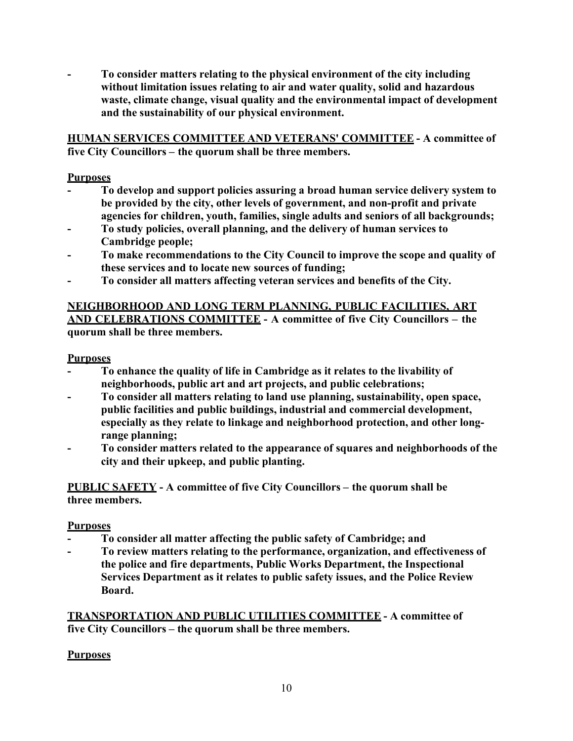**- To consider matters relating to the physical environment of the city including without limitation issues relating to air and water quality, solid and hazardous waste, climate change, visual quality and the environmental impact of development and the sustainability of our physical environment.**

**HUMAN SERVICES COMMITTEE AND VETERANS' COMMITTEE - A committee of five City Councillors – the quorum shall be three members.**

# **Purposes**

- **To develop and support policies assuring a broad human service delivery system to be provided by the city, other levels of government, and non-profit and private agencies for children, youth, families, single adults and seniors of all backgrounds;**
- **To study policies, overall planning, and the delivery of human services to Cambridge people;**
- **To make recommendations to the City Council to improve the scope and quality of these services and to locate new sources of funding;**
- **To consider all matters affecting veteran services and benefits of the City.**

# **NEIGHBORHOOD AND LONG TERM PLANNING, PUBLIC FACILITIES, ART AND CELEBRATIONS COMMITTEE - A committee of five City Councillors – the quorum shall be three members.**

# **Purposes**

- **To enhance the quality of life in Cambridge as it relates to the livability of neighborhoods, public art and art projects, and public celebrations;**
- **To consider all matters relating to land use planning, sustainability, open space, public facilities and public buildings, industrial and commercial development, especially as they relate to linkage and neighborhood protection, and other longrange planning;**
- **To consider matters related to the appearance of squares and neighborhoods of the city and their upkeep, and public planting.**

**PUBLIC SAFETY - A committee of five City Councillors – the quorum shall be three members.**

# **Purposes**

- **To consider all matter affecting the public safety of Cambridge; and**
- **To review matters relating to the performance, organization, and effectiveness of the police and fire departments, Public Works Department, the Inspectional Services Department as it relates to public safety issues, and the Police Review Board.**

**TRANSPORTATION AND PUBLIC UTILITIES COMMITTEE - A committee of five City Councillors – the quorum shall be three members.**

# **Purposes**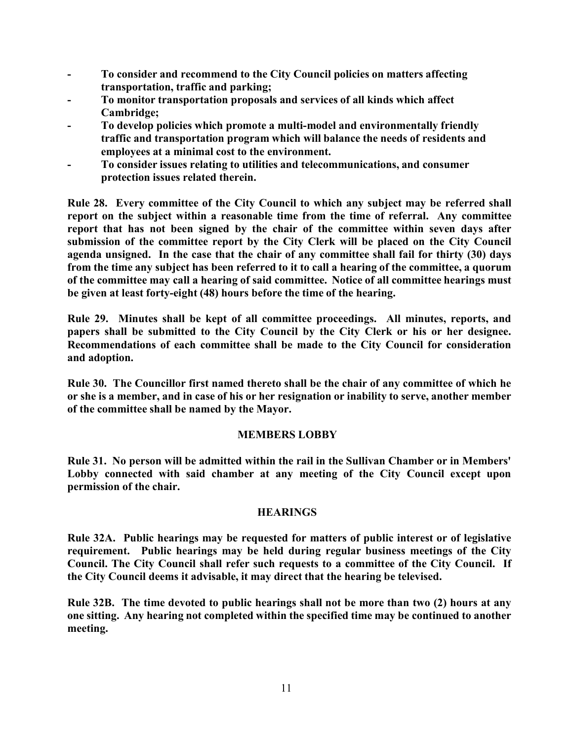- **To consider and recommend to the City Council policies on matters affecting transportation, traffic and parking;**
- **To monitor transportation proposals and services of all kinds which affect Cambridge;**
- **To develop policies which promote a multi-model and environmentally friendly traffic and transportation program which will balance the needs of residents and employees at a minimal cost to the environment.**
- **To consider issues relating to utilities and telecommunications, and consumer protection issues related therein.**

**Rule 28. Every committee of the City Council to which any subject may be referred shall report on the subject within a reasonable time from the time of referral. Any committee report that has not been signed by the chair of the committee within seven days after submission of the committee report by the City Clerk will be placed on the City Council agenda unsigned. In the case that the chair of any committee shall fail for thirty (30) days from the time any subject has been referred to it to call a hearing of the committee, a quorum of the committee may call a hearing of said committee. Notice of all committee hearings must be given at least forty-eight (48) hours before the time of the hearing.**

**Rule 29. Minutes shall be kept of all committee proceedings. All minutes, reports, and papers shall be submitted to the City Council by the City Clerk or his or her designee. Recommendations of each committee shall be made to the City Council for consideration and adoption.**

**Rule 30. The Councillor first named thereto shall be the chair of any committee of which he or she is a member, and in case of his or her resignation or inability to serve, another member of the committee shall be named by the Mayor.**

## **MEMBERS LOBBY**

**Rule 31. No person will be admitted within the rail in the Sullivan Chamber or in Members' Lobby connected with said chamber at any meeting of the City Council except upon permission of the chair.**

## **HEARINGS**

**Rule 32A. Public hearings may be requested for matters of public interest or of legislative requirement. Public hearings may be held during regular business meetings of the City Council. The City Council shall refer such requests to a committee of the City Council. If the City Council deems it advisable, it may direct that the hearing be televised.**

**Rule 32B. The time devoted to public hearings shall not be more than two (2) hours at any one sitting. Any hearing not completed within the specified time may be continued to another meeting.**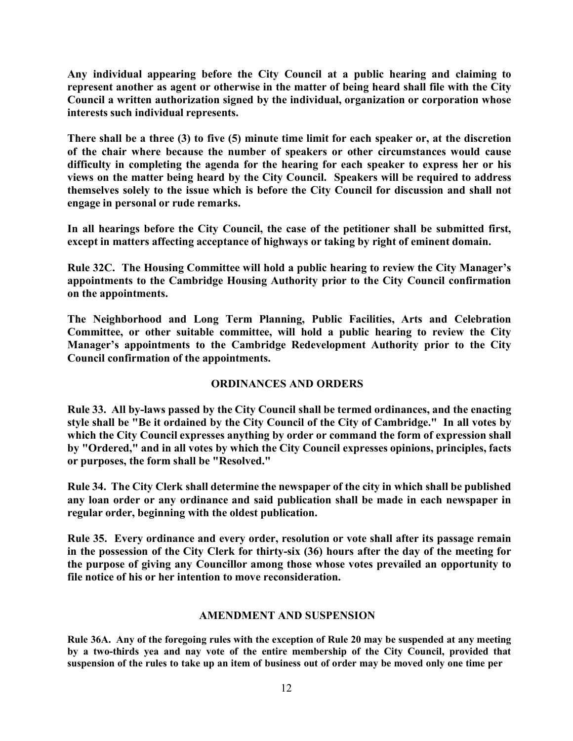**Any individual appearing before the City Council at a public hearing and claiming to represent another as agent or otherwise in the matter of being heard shall file with the City Council a written authorization signed by the individual, organization or corporation whose interests such individual represents.**

**There shall be a three (3) to five (5) minute time limit for each speaker or, at the discretion of the chair where because the number of speakers or other circumstances would cause difficulty in completing the agenda for the hearing for each speaker to express her or his views on the matter being heard by the City Council. Speakers will be required to address themselves solely to the issue which is before the City Council for discussion and shall not engage in personal or rude remarks.**

**In all hearings before the City Council, the case of the petitioner shall be submitted first, except in matters affecting acceptance of highways or taking by right of eminent domain.**

**Rule 32C. The Housing Committee will hold a public hearing to review the City Manager's appointments to the Cambridge Housing Authority prior to the City Council confirmation on the appointments.**

**The Neighborhood and Long Term Planning, Public Facilities, Arts and Celebration Committee, or other suitable committee, will hold a public hearing to review the City Manager's appointments to the Cambridge Redevelopment Authority prior to the City Council confirmation of the appointments.**

# **ORDINANCES AND ORDERS**

**Rule 33. All by-laws passed by the City Council shall be termed ordinances, and the enacting style shall be "Be it ordained by the City Council of the City of Cambridge." In all votes by which the City Council expresses anything by order or command the form of expression shall by "Ordered," and in all votes by which the City Council expresses opinions, principles, facts or purposes, the form shall be "Resolved."**

**Rule 34. The City Clerk shall determine the newspaper of the city in which shall be published any loan order or any ordinance and said publication shall be made in each newspaper in regular order, beginning with the oldest publication.**

**Rule 35. Every ordinance and every order, resolution or vote shall after its passage remain in the possession of the City Clerk for thirty-six (36) hours after the day of the meeting for the purpose of giving any Councillor among those whose votes prevailed an opportunity to file notice of his or her intention to move reconsideration.**

## **AMENDMENT AND SUSPENSION**

**Rule 36A. Any of the foregoing rules with the exception of Rule 20 may be suspended at any meeting by a two-thirds yea and nay vote of the entire membership of the City Council, provided that suspension of the rules to take up an item of business out of order may be moved only one time per**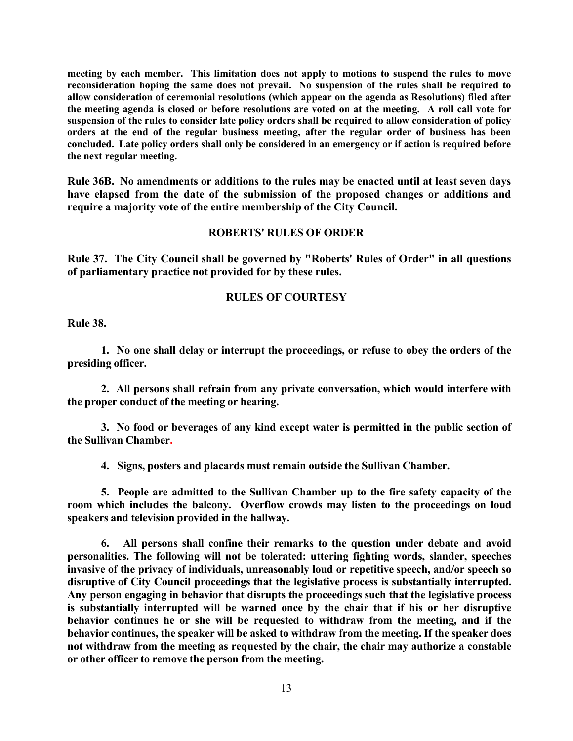**meeting by each member. This limitation does not apply to motions to suspend the rules to move reconsideration hoping the same does not prevail. No suspension of the rules shall be required to allow consideration of ceremonial resolutions (which appear on the agenda as Resolutions) filed after the meeting agenda is closed or before resolutions are voted on at the meeting. A roll call vote for suspension of the rules to consider late policy orders shall be required to allow consideration of policy orders at the end of the regular business meeting, after the regular order of business has been concluded. Late policy orders shall only be considered in an emergency or if action is required before the next regular meeting.**

**Rule 36B. No amendments or additions to the rules may be enacted until at least seven days have elapsed from the date of the submission of the proposed changes or additions and require a majority vote of the entire membership of the City Council.**

#### **ROBERTS' RULES OF ORDER**

**Rule 37. The City Council shall be governed by "Roberts' Rules of Order" in all questions of parliamentary practice not provided for by these rules.**

#### **RULES OF COURTESY**

**Rule 38.**

**1. No one shall delay or interrupt the proceedings, or refuse to obey the orders of the presiding officer.**

**2. All persons shall refrain from any private conversation, which would interfere with the proper conduct of the meeting or hearing.**

**3. No food or beverages of any kind except water is permitted in the public section of the Sullivan Chamber.**

**4. Signs, posters and placards must remain outside the Sullivan Chamber.**

**5. People are admitted to the Sullivan Chamber up to the fire safety capacity of the room which includes the balcony. Overflow crowds may listen to the proceedings on loud speakers and television provided in the hallway.**

**6. All persons shall confine their remarks to the question under debate and avoid personalities. The following will not be tolerated: uttering fighting words, slander, speeches invasive of the privacy of individuals, unreasonably loud or repetitive speech, and/or speech so disruptive of City Council proceedings that the legislative process is substantially interrupted. Any person engaging in behavior that disrupts the proceedings such that the legislative process is substantially interrupted will be warned once by the chair that if his or her disruptive behavior continues he or she will be requested to withdraw from the meeting, and if the behavior continues, the speaker will be asked to withdraw from the meeting. If the speaker does not withdraw from the meeting as requested by the chair, the chair may authorize a constable or other officer to remove the person from the meeting.**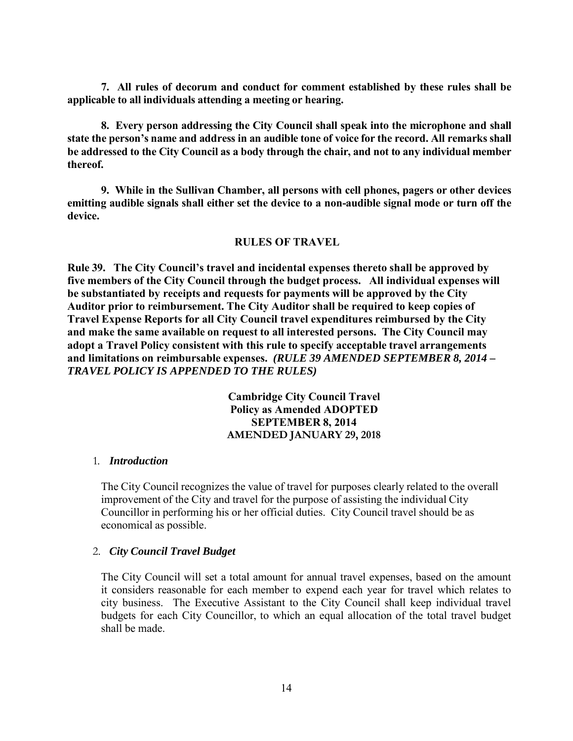**7. All rules of decorum and conduct for comment established by these rules shall be applicable to all individuals attending a meeting or hearing.**

**8. Every person addressing the City Council shall speak into the microphone and shall state the person's name and address in an audible tone of voice for the record. All remarks shall be addressed to the City Council as a body through the chair, and not to any individual member thereof.**

**9. While in the Sullivan Chamber, all persons with cell phones, pagers or other devices emitting audible signals shall either set the device to a non-audible signal mode or turn off the device.**

## **RULES OF TRAVEL**

**Rule 39. The City Council's travel and incidental expenses thereto shall be approved by five members of the City Council through the budget process. All individual expenses will be substantiated by receipts and requests for payments will be approved by the City Auditor prior to reimbursement. The City Auditor shall be required to keep copies of Travel Expense Reports for all City Council travel expenditures reimbursed by the City and make the same available on request to all interested persons. The City Council may adopt a Travel Policy consistent with this rule to specify acceptable travel arrangements and limitations on reimbursable expenses.** *(RULE 39 AMENDED SEPTEMBER 8, 2014 – TRAVEL POLICY IS APPENDED TO THE RULES)*

> **Cambridge City Council Travel Policy as Amended ADOPTED SEPTEMBER 8, 2014 AMENDED JANUARY 29, 2018**

#### 1. *Introduction*

The City Council recognizes the value of travel for purposes clearly related to the overall improvement of the City and travel for the purpose of assisting the individual City Councillor in performing his or her official duties. City Council travel should be as economical as possible.

#### 2. *City Council Travel Budget*

The City Council will set a total amount for annual travel expenses, based on the amount it considers reasonable for each member to expend each year for travel which relates to city business. The Executive Assistant to the City Council shall keep individual travel budgets for each City Councillor, to which an equal allocation of the total travel budget shall be made.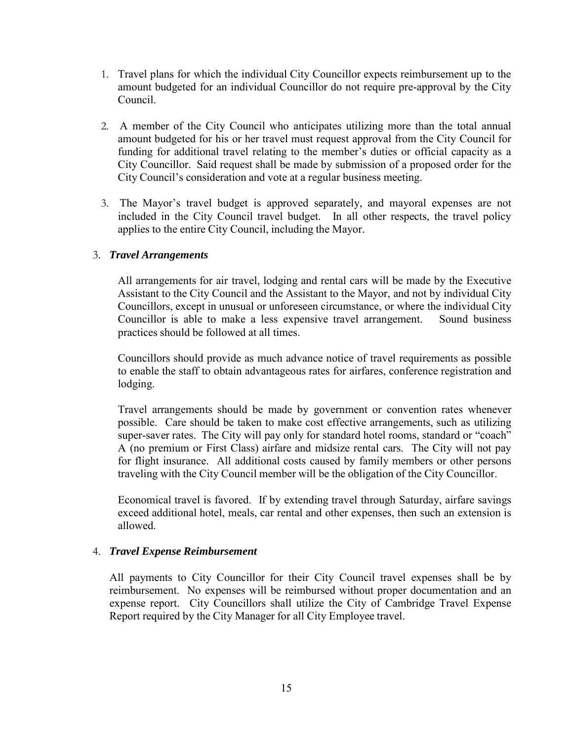- 1. Travel plans for which the individual City Councillor expects reimbursement up to the amount budgeted for an individual Councillor do not require pre-approval by the City Council.
- 2. A member of the City Council who anticipates utilizing more than the total annual amount budgeted for his or her travel must request approval from the City Council for funding for additional travel relating to the member's duties or official capacity as a City Councillor. Said request shall be made by submission of a proposed order for the City Council's consideration and vote at a regular business meeting.
- 3. The Mayor's travel budget is approved separately, and mayoral expenses are not included in the City Council travel budget. In all other respects, the travel policy applies to the entire City Council, including the Mayor.

## 3. *Travel Arrangements*

All arrangements for air travel, lodging and rental cars will be made by the Executive Assistant to the City Council and the Assistant to the Mayor, and not by individual City Councillors, except in unusual or unforeseen circumstance, or where the individual City Councillor is able to make a less expensive travel arrangement. Sound business practices should be followed at all times.

Councillors should provide as much advance notice of travel requirements as possible to enable the staff to obtain advantageous rates for airfares, conference registration and lodging.

Travel arrangements should be made by government or convention rates whenever possible. Care should be taken to make cost effective arrangements, such as utilizing super-saver rates. The City will pay only for standard hotel rooms, standard or "coach" A (no premium or First Class) airfare and midsize rental cars. The City will not pay for flight insurance. All additional costs caused by family members or other persons traveling with the City Council member will be the obligation of the City Councillor.

Economical travel is favored. If by extending travel through Saturday, airfare savings exceed additional hotel, meals, car rental and other expenses, then such an extension is allowed.

## 4. *Travel Expense Reimbursement*

All payments to City Councillor for their City Council travel expenses shall be by reimbursement. No expenses will be reimbursed without proper documentation and an expense report. City Councillors shall utilize the City of Cambridge Travel Expense Report required by the City Manager for all City Employee travel.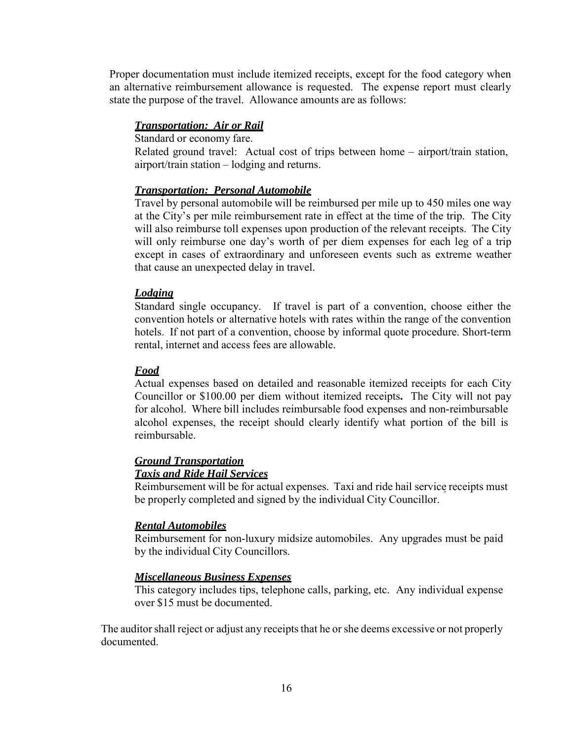Proper documentation must include itemized receipts, except for the food category when an alternative reimbursement allowance is requested. The expense report must clearly state the purpose of the travel. Allowance amounts are as follows:

## *Transportation: Air or Rail*

Standard or economy fare.

Related ground travel: Actual cost of trips between home – airport/train station, airport/train station – lodging and returns.

## *Transportation: Personal Automobile*

Travel by personal automobile will be reimbursed per mile up to 450 miles one way at the City's per mile reimbursement rate in effect at the time of the trip. The City will also reimburse toll expenses upon production of the relevant receipts. The City will only reimburse one day's worth of per diem expenses for each leg of a trip except in cases of extraordinary and unforeseen events such as extreme weather that cause an unexpected delay in travel.

## *Lodging*

Standard single occupancy. If travel is part of a convention, choose either the convention hotels or alternative hotels with rates within the range of the convention hotels. If not part of a convention, choose by informal quote procedure. Short-term rental, internet and access fees are allowable.

## *Food*

Actual expenses based on detailed and reasonable itemized receipts for each City Councillor or \$100.00 per diem without itemized receipts**.** The City will not pay for alcohol. Where bill includes reimbursable food expenses and non-reimbursable alcohol expenses, the receipt should clearly identify what portion of the bill is reimbursable.

#### *Ground Transportation Taxis and Ride Hail Services*

Reimbursement will be for actual expenses. Taxi and ride hail service receipts must be properly completed and signed by the individual City Councillor.

## *Rental Automobiles*

Reimbursement for non-luxury midsize automobiles. Any upgrades must be paid by the individual City Councillors.

## *Miscellaneous Business Expenses*

This category includes tips, telephone calls, parking, etc. Any individual expense over \$15 must be documented.

The auditor shall reject or adjust any receipts that he or she deems excessive or not properly documented.